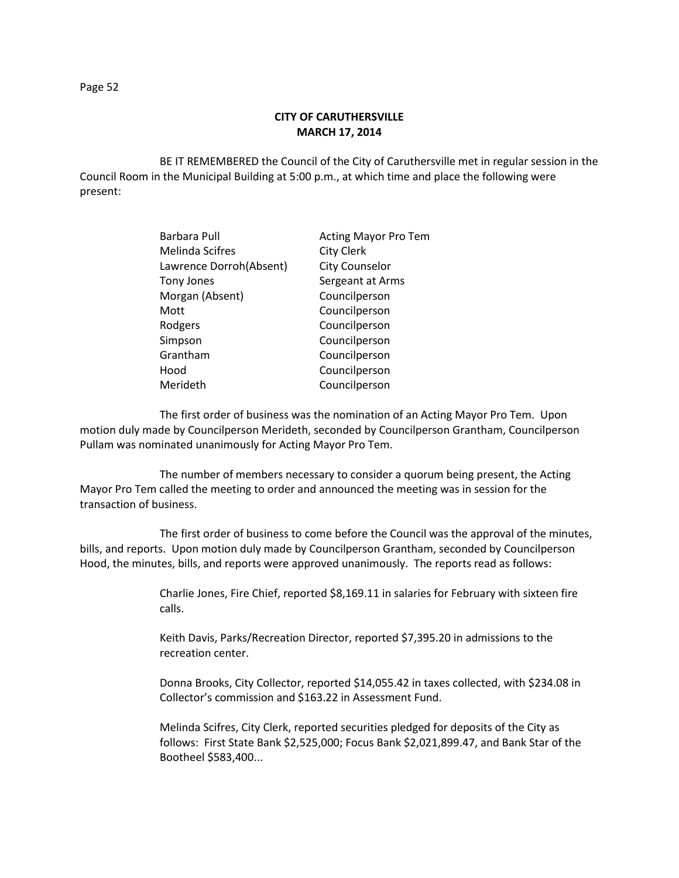BE IT REMEMBERED the Council of the City of Caruthersville met in regular session in the Council Room in the Municipal Building at 5:00 p.m., at which time and place the following were present:

| Barbara Pull            | <b>Acting Mayor Pro Tem</b> |
|-------------------------|-----------------------------|
| <b>Melinda Scifres</b>  | <b>City Clerk</b>           |
| Lawrence Dorroh(Absent) | <b>City Counselor</b>       |
| Tony Jones              | Sergeant at Arms            |
| Morgan (Absent)         | Councilperson               |
| Mott                    | Councilperson               |
| Rodgers                 | Councilperson               |
| Simpson                 | Councilperson               |
| Grantham                | Councilperson               |
| Hood                    | Councilperson               |
| Merideth                | Councilperson               |

The first order of business was the nomination of an Acting Mayor Pro Tem. Upon motion duly made by Councilperson Merideth, seconded by Councilperson Grantham, Councilperson Pullam was nominated unanimously for Acting Mayor Pro Tem.

The number of members necessary to consider a quorum being present, the Acting Mayor Pro Tem called the meeting to order and announced the meeting was in session for the transaction of business.

The first order of business to come before the Council was the approval of the minutes, bills, and reports. Upon motion duly made by Councilperson Grantham, seconded by Councilperson Hood, the minutes, bills, and reports were approved unanimously. The reports read as follows:

> Charlie Jones, Fire Chief, reported \$8,169.11 in salaries for February with sixteen fire calls.

Keith Davis, Parks/Recreation Director, reported \$7,395.20 in admissions to the recreation center.

Donna Brooks, City Collector, reported \$14,055.42 in taxes collected, with \$234.08 in Collector's commission and \$163.22 in Assessment Fund.

Melinda Scifres, City Clerk, reported securities pledged for deposits of the City as follows: First State Bank \$2,525,000; Focus Bank \$2,021,899.47, and Bank Star of the Bootheel \$583,400...

Page 52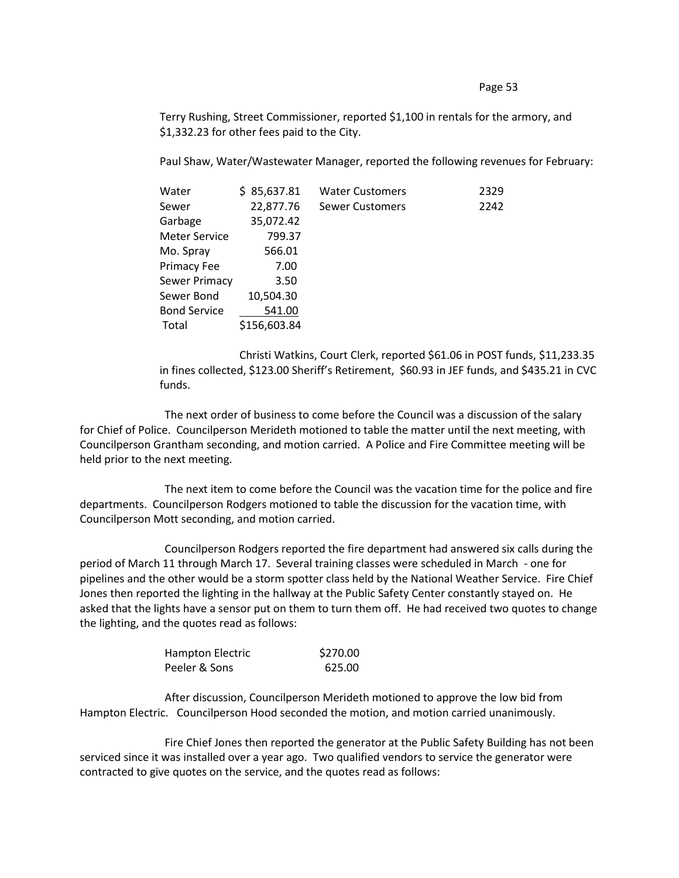Page 53

Terry Rushing, Street Commissioner, reported \$1,100 in rentals for the armory, and \$1,332.23 for other fees paid to the City.

Paul Shaw, Water/Wastewater Manager, reported the following revenues for February:

| Water                | \$85,637.81  | <b>Water Customers</b> | 2329 |
|----------------------|--------------|------------------------|------|
| Sewer                | 22,877.76    | <b>Sewer Customers</b> | 2242 |
| Garbage              | 35,072.42    |                        |      |
| <b>Meter Service</b> | 799.37       |                        |      |
| Mo. Spray            | 566.01       |                        |      |
| Primacy Fee          | 7.00         |                        |      |
| Sewer Primacy        | 3.50         |                        |      |
| Sewer Bond           | 10,504.30    |                        |      |
| <b>Bond Service</b>  | 541.00       |                        |      |
| Total                | \$156,603.84 |                        |      |

Christi Watkins, Court Clerk, reported \$61.06 in POST funds, \$11,233.35 in fines collected, \$123.00 Sheriff's Retirement, \$60.93 in JEF funds, and \$435.21 in CVC funds.

The next order of business to come before the Council was a discussion of the salary for Chief of Police. Councilperson Merideth motioned to table the matter until the next meeting, with Councilperson Grantham seconding, and motion carried. A Police and Fire Committee meeting will be held prior to the next meeting.

The next item to come before the Council was the vacation time for the police and fire departments. Councilperson Rodgers motioned to table the discussion for the vacation time, with Councilperson Mott seconding, and motion carried.

Councilperson Rodgers reported the fire department had answered six calls during the period of March 11 through March 17. Several training classes were scheduled in March - one for pipelines and the other would be a storm spotter class held by the National Weather Service. Fire Chief Jones then reported the lighting in the hallway at the Public Safety Center constantly stayed on. He asked that the lights have a sensor put on them to turn them off. He had received two quotes to change the lighting, and the quotes read as follows:

| Hampton Electric | \$270.00 |
|------------------|----------|
| Peeler & Sons    | 625.00   |

After discussion, Councilperson Merideth motioned to approve the low bid from Hampton Electric. Councilperson Hood seconded the motion, and motion carried unanimously.

Fire Chief Jones then reported the generator at the Public Safety Building has not been serviced since it was installed over a year ago. Two qualified vendors to service the generator were contracted to give quotes on the service, and the quotes read as follows: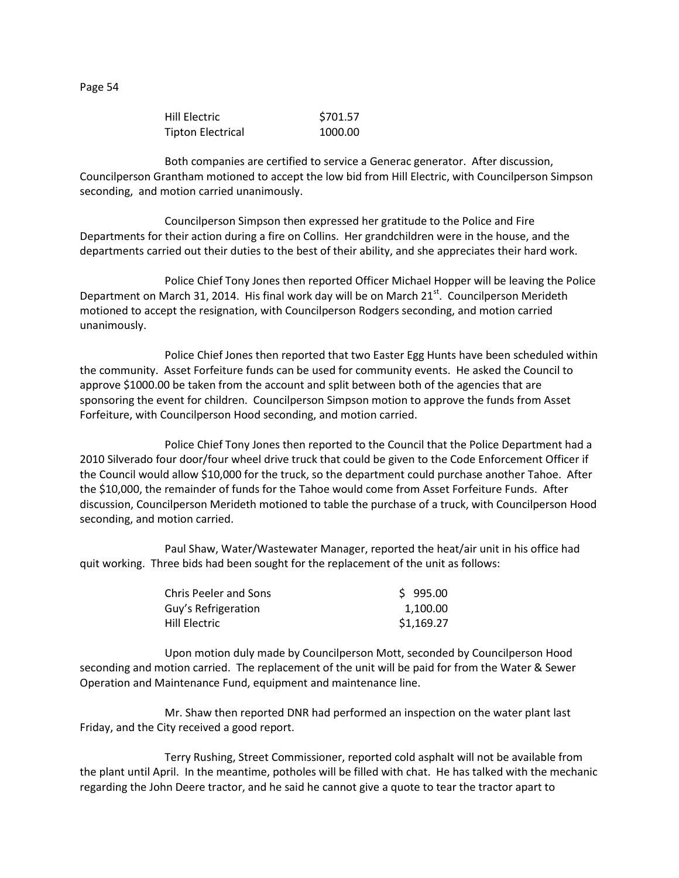| Hill Electric            | \$701.57 |
|--------------------------|----------|
| <b>Tipton Electrical</b> | 1000.00  |

Both companies are certified to service a Generac generator. After discussion, Councilperson Grantham motioned to accept the low bid from Hill Electric, with Councilperson Simpson seconding, and motion carried unanimously.

Councilperson Simpson then expressed her gratitude to the Police and Fire Departments for their action during a fire on Collins. Her grandchildren were in the house, and the departments carried out their duties to the best of their ability, and she appreciates their hard work.

Police Chief Tony Jones then reported Officer Michael Hopper will be leaving the Police Department on March 31, 2014. His final work day will be on March  $21<sup>st</sup>$ . Councilperson Merideth motioned to accept the resignation, with Councilperson Rodgers seconding, and motion carried unanimously.

Police Chief Jones then reported that two Easter Egg Hunts have been scheduled within the community. Asset Forfeiture funds can be used for community events. He asked the Council to approve \$1000.00 be taken from the account and split between both of the agencies that are sponsoring the event for children. Councilperson Simpson motion to approve the funds from Asset Forfeiture, with Councilperson Hood seconding, and motion carried.

Police Chief Tony Jones then reported to the Council that the Police Department had a 2010 Silverado four door/four wheel drive truck that could be given to the Code Enforcement Officer if the Council would allow \$10,000 for the truck, so the department could purchase another Tahoe. After the \$10,000, the remainder of funds for the Tahoe would come from Asset Forfeiture Funds. After discussion, Councilperson Merideth motioned to table the purchase of a truck, with Councilperson Hood seconding, and motion carried.

Paul Shaw, Water/Wastewater Manager, reported the heat/air unit in his office had quit working. Three bids had been sought for the replacement of the unit as follows:

| <b>Chris Peeler and Sons</b> | \$995.00   |
|------------------------------|------------|
| Guy's Refrigeration          | 1.100.00   |
| Hill Electric                | \$1,169.27 |

Upon motion duly made by Councilperson Mott, seconded by Councilperson Hood seconding and motion carried. The replacement of the unit will be paid for from the Water & Sewer Operation and Maintenance Fund, equipment and maintenance line.

Mr. Shaw then reported DNR had performed an inspection on the water plant last Friday, and the City received a good report.

Terry Rushing, Street Commissioner, reported cold asphalt will not be available from the plant until April. In the meantime, potholes will be filled with chat. He has talked with the mechanic regarding the John Deere tractor, and he said he cannot give a quote to tear the tractor apart to